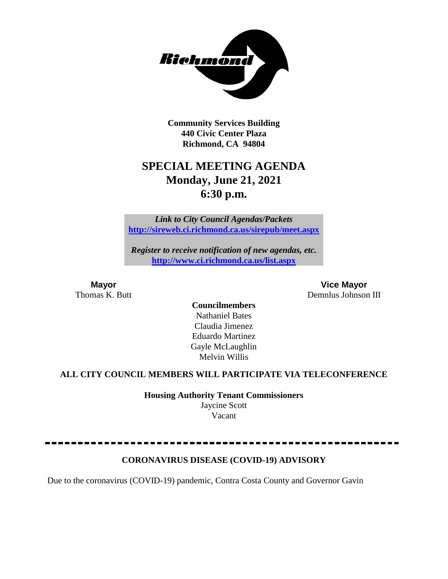

**Community Services Building 440 Civic Center Plaza Richmond, CA 94804**

# **SPECIAL MEETING AGENDA Monday, June 21, 2021 6:30 p.m.**

*Link to City Council Agendas/Packets* **<http://sireweb.ci.richmond.ca.us/sirepub/meet.aspx>**

*Register to receive notification of new agendas, etc.* **<http://www.ci.richmond.ca.us/list.aspx>**

**Mayor Vice Mayor** Thomas K. Butt Demnlus Johnson III

**Councilmembers** Nathaniel Bates Claudia Jimenez Eduardo Martinez Gayle McLaughlin Melvin Willis

## **ALL CITY COUNCIL MEMBERS WILL PARTICIPATE VIA TELECONFERENCE**

**Housing Authority Tenant Commissioners** Jaycine Scott Vacant

## **CORONAVIRUS DISEASE (COVID-19) ADVISORY**

Due to the coronavirus (COVID-19) pandemic, Contra Costa County and Governor Gavin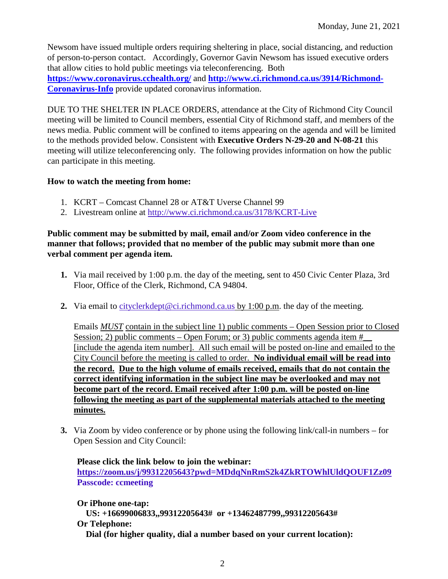Newsom have issued multiple orders requiring sheltering in place, social distancing, and reduction of person-to-person contact. Accordingly, Governor Gavin Newsom has issued executive orders that allow cities to hold public meetings via teleconferencing. Both **<https://www.coronavirus.cchealth.org/>** and **[http://www.ci.richmond.ca.us/3914/Richmond-](http://www.ci.richmond.ca.us/3914/Richmond-Coronavirus-Info)[Coronavirus-Info](http://www.ci.richmond.ca.us/3914/Richmond-Coronavirus-Info)** provide updated coronavirus information.

DUE TO THE SHELTER IN PLACE ORDERS, attendance at the City of Richmond City Council meeting will be limited to Council members, essential City of Richmond staff, and members of the news media. Public comment will be confined to items appearing on the agenda and will be limited to the methods provided below. Consistent with **Executive Orders N-29-20 and N-08-21** this meeting will utilize teleconferencing only. The following provides information on how the public can participate in this meeting.

## **How to watch the meeting from home:**

- 1. KCRT Comcast Channel 28 or AT&T Uverse Channel 99
- 2. Livestream online at<http://www.ci.richmond.ca.us/3178/KCRT-Live>

## **Public comment may be submitted by mail, email and/or Zoom video conference in the manner that follows; provided that no member of the public may submit more than one verbal comment per agenda item.**

- **1.** Via mail received by 1:00 p.m. the day of the meeting, sent to 450 Civic Center Plaza, 3rd Floor, Office of the Clerk, Richmond, CA 94804.
- **2.** Via email to [cityclerkdept@ci.richmond.ca.us](mailto:cityclerkdept@ci.richmond.ca.us) by 1:00 p.m. the day of the meeting.

Emails *MUST* contain in the subject line 1) public comments – Open Session prior to Closed Session; 2) public comments – Open Forum; or 3) public comments agenda item  $#$ [include the agenda item number]. All such email will be posted on-line and emailed to the City Council before the meeting is called to order. **No individual email will be read into the record. Due to the high volume of emails received, emails that do not contain the correct identifying information in the subject line may be overlooked and may not become part of the record. Email received after 1:00 p.m. will be posted on-line following the meeting as part of the supplemental materials attached to the meeting minutes.**

**3.** Via Zoom by video conference or by phone using the following link/call-in numbers – for Open Session and City Council:

**Please click the link below to join the webinar: <https://zoom.us/j/99312205643?pwd=MDdqNnRmS2k4ZkRTOWhlUldQOUF1Zz09> Passcode: ccmeeting**

**Or iPhone one-tap: US: +16699006833,,99312205643# or +13462487799,,99312205643# Or Telephone: Dial (for higher quality, dial a number based on your current location):**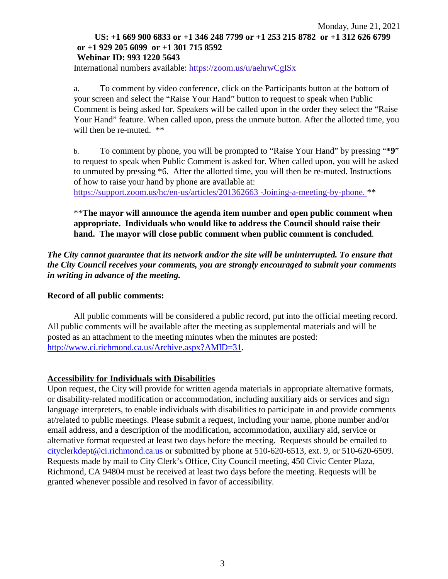#### Monday, June 21, 2021 **US: +1 669 900 6833 or +1 346 248 7799 or +1 253 215 8782 or +1 312 626 6799 or +1 929 205 6099 or +1 301 715 8592 Webinar ID: 993 1220 5643**

International numbers available: <https://zoom.us/u/aehrwCgISx>

a. To comment by video conference, click on the Participants button at the bottom of your screen and select the "Raise Your Hand" button to request to speak when Public Comment is being asked for. Speakers will be called upon in the order they select the "Raise Your Hand" feature. When called upon, press the unmute button. After the allotted time, you will then be re-muted.  $**$ 

b. To comment by phone, you will be prompted to "Raise Your Hand" by pressing "**\*9**" to request to speak when Public Comment is asked for. When called upon, you will be asked to unmuted by pressing \*6. After the allotted time, you will then be re-muted. Instructions of how to raise your hand by phone are available at:

[https://support.zoom.us/hc/en-us/articles/201362663 -Joining-a-meeting-by-phone.](https://support.zoom.us/hc/en-us/articles/201362663) \*\*

\*\***The mayor will announce the agenda item number and open public comment when appropriate. Individuals who would like to address the Council should raise their hand. The mayor will close public comment when public comment is concluded**.

*The City cannot guarantee that its network and/or the site will be uninterrupted. To ensure that the City Council receives your comments, you are strongly encouraged to submit your comments in writing in advance of the meeting.* 

#### **Record of all public comments:**

All public comments will be considered a public record, put into the official meeting record. All public comments will be available after the meeting as supplemental materials and will be posted as an attachment to the meeting minutes when the minutes are posted: [http://www.ci.richmond.ca.us/Archive.aspx?AMID=31.](http://www.ci.richmond.ca.us/Archive.aspx?AMID=31)

#### **Accessibility for Individuals with Disabilities**

Upon request, the City will provide for written agenda materials in appropriate alternative formats, or disability-related modification or accommodation, including auxiliary aids or services and sign language interpreters, to enable individuals with disabilities to participate in and provide comments at/related to public meetings. Please submit a request, including your name, phone number and/or email address, and a description of the modification, accommodation, auxiliary aid, service or alternative format requested at least two days before the meeting. Requests should be emailed to [cityclerkdept@ci.richmond.ca.us](mailto:cityclerkdept@ci.richmond.ca.us) or submitted by phone at 510-620-6513, ext. 9, or 510-620-6509. Requests made by mail to City Clerk's Office, City Council meeting, 450 Civic Center Plaza, Richmond, CA 94804 must be received at least two days before the meeting. Requests will be granted whenever possible and resolved in favor of accessibility.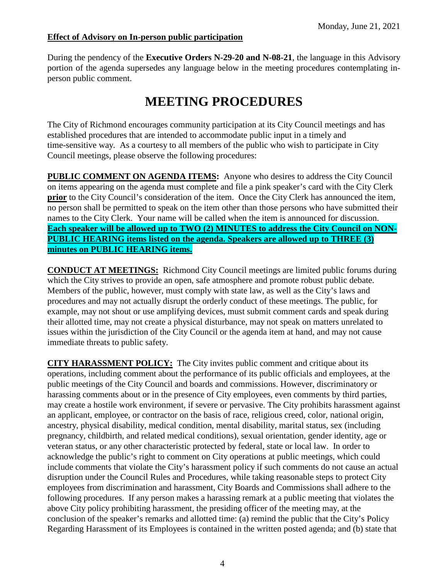## **Effect of Advisory on In-person public participation**

During the pendency of the **Executive Orders N-29-20 and N-08-21**, the language in this Advisory portion of the agenda supersedes any language below in the meeting procedures contemplating inperson public comment.

# **MEETING PROCEDURES**

The City of Richmond encourages community participation at its City Council meetings and has established procedures that are intended to accommodate public input in a timely and time-sensitive way. As a courtesy to all members of the public who wish to participate in City Council meetings, please observe the following procedures:

**PUBLIC COMMENT ON AGENDA ITEMS:** Anyone who desires to address the City Council on items appearing on the agenda must complete and file a pink speaker's card with the City Clerk **prior** to the City Council's consideration of the item. Once the City Clerk has announced the item, no person shall be permitted to speak on the item other than those persons who have submitted their names to the City Clerk. Your name will be called when the item is announced for discussion. **Each speaker will be allowed up to TWO (2) MINUTES to address the City Council on NON-PUBLIC HEARING items listed on the agenda. Speakers are allowed up to THREE (3) minutes on PUBLIC HEARING items.**

**CONDUCT AT MEETINGS:** Richmond City Council meetings are limited public forums during which the City strives to provide an open, safe atmosphere and promote robust public debate. Members of the public, however, must comply with state law, as well as the City's laws and procedures and may not actually disrupt the orderly conduct of these meetings. The public, for example, may not shout or use amplifying devices, must submit comment cards and speak during their allotted time, may not create a physical disturbance, may not speak on matters unrelated to issues within the jurisdiction of the City Council or the agenda item at hand, and may not cause immediate threats to public safety.

**CITY HARASSMENT POLICY:** The City invites public comment and critique about its operations, including comment about the performance of its public officials and employees, at the public meetings of the City Council and boards and commissions. However, discriminatory or harassing comments about or in the presence of City employees, even comments by third parties, may create a hostile work environment, if severe or pervasive. The City prohibits harassment against an applicant, employee, or contractor on the basis of race, religious creed, color, national origin, ancestry, physical disability, medical condition, mental disability, marital status, sex (including pregnancy, childbirth, and related medical conditions), sexual orientation, gender identity, age or veteran status, or any other characteristic protected by federal, state or local law. In order to acknowledge the public's right to comment on City operations at public meetings, which could include comments that violate the City's harassment policy if such comments do not cause an actual disruption under the Council Rules and Procedures, while taking reasonable steps to protect City employees from discrimination and harassment, City Boards and Commissions shall adhere to the following procedures. If any person makes a harassing remark at a public meeting that violates the above City policy prohibiting harassment, the presiding officer of the meeting may, at the conclusion of the speaker's remarks and allotted time: (a) remind the public that the City's Policy Regarding Harassment of its Employees is contained in the written posted agenda; and (b) state that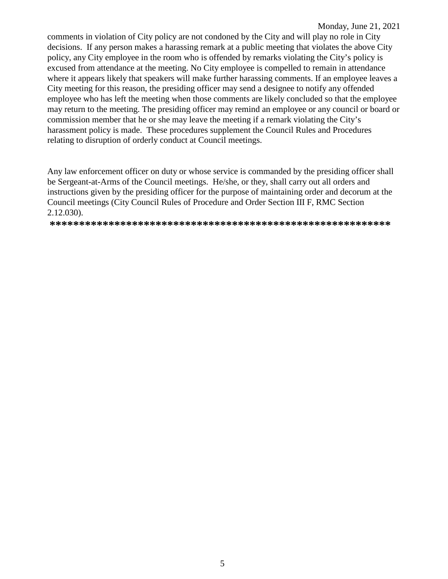comments in violation of City policy are not condoned by the City and will play no role in City decisions. If any person makes a harassing remark at a public meeting that violates the above City policy, any City employee in the room who is offended by remarks violating the City's policy is excused from attendance at the meeting. No City employee is compelled to remain in attendance where it appears likely that speakers will make further harassing comments. If an employee leaves a City meeting for this reason, the presiding officer may send a designee to notify any offended employee who has left the meeting when those comments are likely concluded so that the employee may return to the meeting. The presiding officer may remind an employee or any council or board or commission member that he or she may leave the meeting if a remark violating the City's harassment policy is made. These procedures supplement the Council Rules and Procedures relating to disruption of orderly conduct at Council meetings.

Any law enforcement officer on duty or whose service is commanded by the presiding officer shall be Sergeant-at-Arms of the Council meetings. He/she, or they, shall carry out all orders and instructions given by the presiding officer for the purpose of maintaining order and decorum at the Council meetings (City Council Rules of Procedure and Order Section III F, RMC Section  $2.12.030$ ).